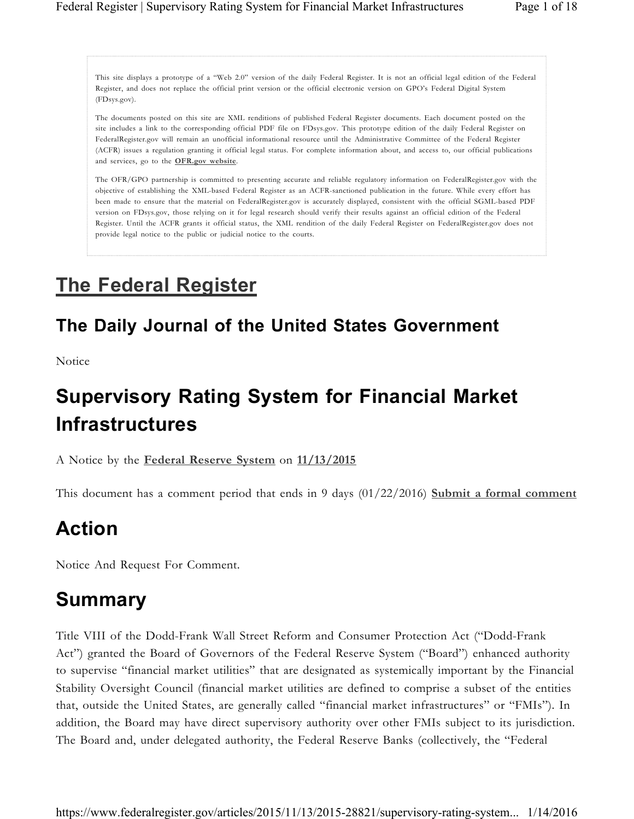This site displays a prototype of a "Web 2.0" version of the daily Federal Register. It is not an official legal edition of the Federal Register, and does not replace the official print version or the official electronic version on GPO's Federal Digital System (FDsys.gov).

The documents posted on this site are XML renditions of published Federal Register documents. Each document posted on the site includes a link to the corresponding official PDF file on FDsys.gov. This prototype edition of the daily Federal Register on FederalRegister.gov will remain an unofficial informational resource until the Administrative Committee of the Federal Register (ACFR) issues a regulation granting it official legal status. For complete information about, and access to, our official publications and services, go to the **OFR.gov website**.

The OFR/GPO partnership is committed to presenting accurate and reliable regulatory information on FederalRegister.gov with the objective of establishing the XML-based Federal Register as an ACFR-sanctioned publication in the future. While every effort has been made to ensure that the material on FederalRegister.gov is accurately displayed, consistent with the official SGML-based PDF version on FDsys.gov, those relying on it for legal research should verify their results against an official edition of the Federal Register. Until the ACFR grants it official status, the XML rendition of the daily Federal Register on FederalRegister.gov does not provide legal notice to the public or judicial notice to the courts.

# **The Federal Register**

# **The Daily Journal of the United States Government**

Notice

# **Supervisory Rating System for Financial Market Infrastructures**

A Notice by the **Federal Reserve System** on **11/13/2015**

This document has a comment period that ends in 9 days (01/22/2016) **Submit a formal comment**

# **Action**

Notice And Request For Comment.

# **Summary**

Title VIII of the Dodd-Frank Wall Street Reform and Consumer Protection Act ("Dodd-Frank Act") granted the Board of Governors of the Federal Reserve System ("Board") enhanced authority to supervise "financial market utilities" that are designated as systemically important by the Financial Stability Oversight Council (financial market utilities are defined to comprise a subset of the entities that, outside the United States, are generally called "financial market infrastructures" or "FMIs"). In addition, the Board may have direct supervisory authority over other FMIs subject to its jurisdiction. The Board and, under delegated authority, the Federal Reserve Banks (collectively, the "Federal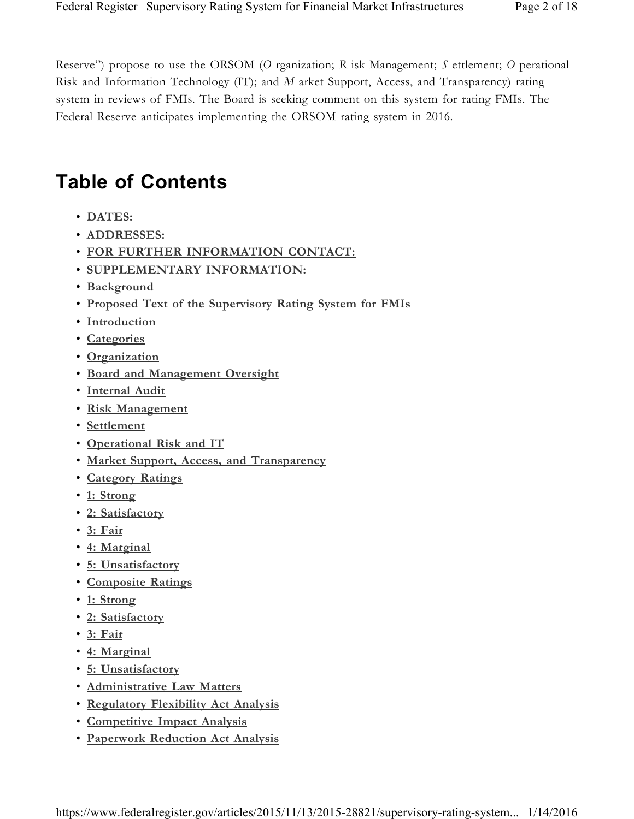Reserve") propose to use the ORSOM (*O* rganization; *R* isk Management; *S* ettlement; *O* perational Risk and Information Technology (IT); and *M* arket Support, Access, and Transparency) rating system in reviews of FMIs. The Board is seeking comment on this system for rating FMIs. The Federal Reserve anticipates implementing the ORSOM rating system in 2016.

# **Table of Contents**

- **DATES:**
- **ADDRESSES:**
- **FOR FURTHER INFORMATION CONTACT:**
- **SUPPLEMENTARY INFORMATION:**
- **Background**
- **Proposed Text of the Supervisory Rating System for FMIs**
- **Introduction**
- **Categories**
- **Organization**
- **Board and Management Oversight**
- **Internal Audit**
- **Risk Management**
- **Settlement**
- **Operational Risk and IT**
- **Market Support, Access, and Transparency**
- **Category Ratings**
- **1: Strong**
- **2: Satisfactory**
- **3: Fair**
- **4: Marginal**
- **5: Unsatisfactory**
- **Composite Ratings**
- **1: Strong**
- **2: Satisfactory**
- **3: Fair**
- **4: Marginal**
- **5: Unsatisfactory**
- **Administrative Law Matters**
- **Regulatory Flexibility Act Analysis**
- **Competitive Impact Analysis**
- **Paperwork Reduction Act Analysis**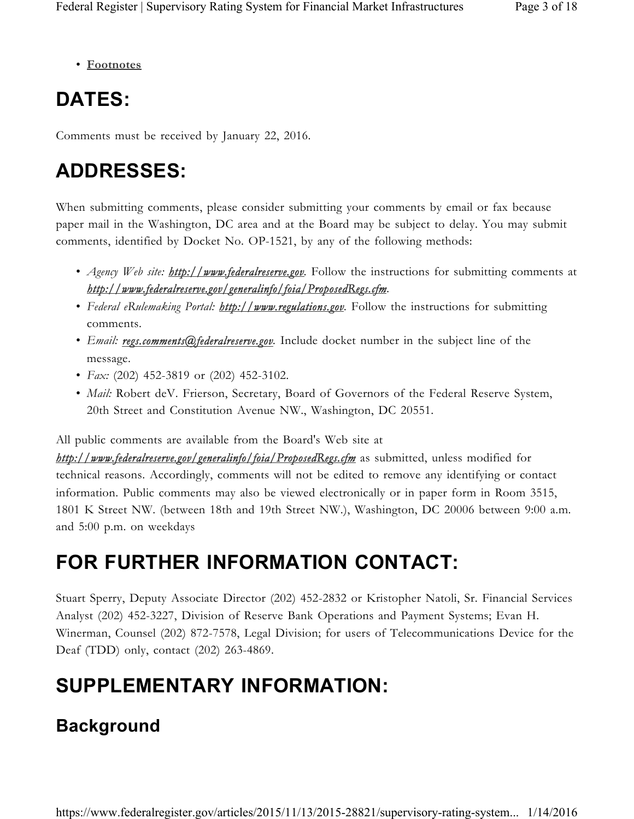• **Footnotes**

# **DATES:**

Comments must be received by January 22, 2016.

# **ADDRESSES:**

When submitting comments, please consider submitting your comments by email or fax because paper mail in the Washington, DC area and at the Board may be subject to delay. You may submit comments, identified by Docket No. OP-1521, by any of the following methods:

- *Agency Web site: http://www.federalreserve.gov.* Follow the instructions for submitting comments at *http://www.federalreserve.gov/generalinfo/foia/ProposedRegs.cfm.*
- *Federal eRulemaking Portal: http://www.regulations.gov.* Follow the instructions for submitting comments.
- *Email: regs.comments@federalreserve.gov.* Include docket number in the subject line of the message.
- *Fax:* (202) 452-3819 or (202) 452-3102.
- *Mail:* Robert deV. Frierson, Secretary, Board of Governors of the Federal Reserve System, 20th Street and Constitution Avenue NW., Washington, DC 20551.

All public comments are available from the Board's Web site at

*http://www.federalreserve.gov/generalinfo/foia/ProposedRegs.cfm* as submitted, unless modified for technical reasons. Accordingly, comments will not be edited to remove any identifying or contact information. Public comments may also be viewed electronically or in paper form in Room 3515, 1801 K Street NW. (between 18th and 19th Street NW.), Washington, DC 20006 between 9:00 a.m. and 5:00 p.m. on weekdays

# **FOR FURTHER INFORMATION CONTACT:**

Stuart Sperry, Deputy Associate Director (202) 452-2832 or Kristopher Natoli, Sr. Financial Services Analyst (202) 452-3227, Division of Reserve Bank Operations and Payment Systems; Evan H. Winerman, Counsel (202) 872-7578, Legal Division; for users of Telecommunications Device for the Deaf (TDD) only, contact (202) 263-4869.

# **SUPPLEMENTARY INFORMATION:**

# **Background**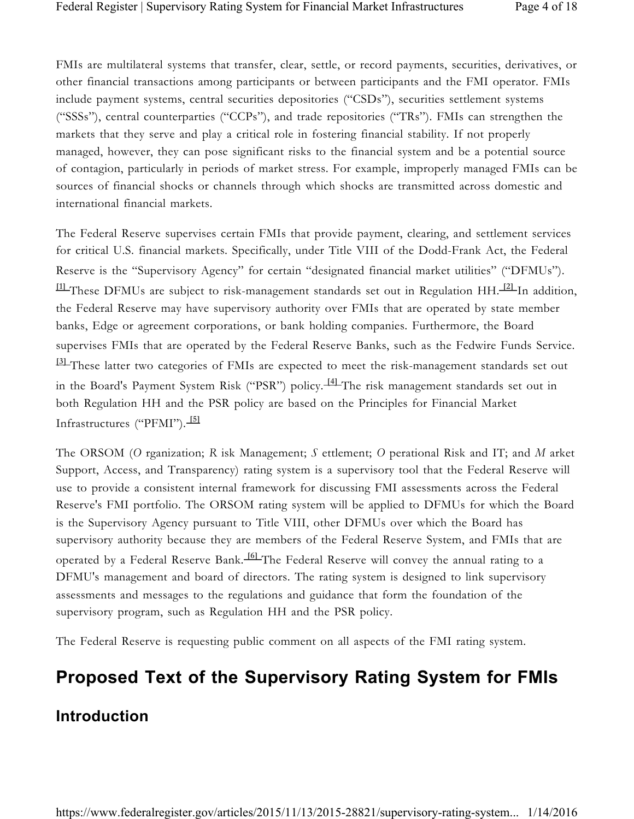FMIs are multilateral systems that transfer, clear, settle, or record payments, securities, derivatives, or other financial transactions among participants or between participants and the FMI operator. FMIs include payment systems, central securities depositories ("CSDs"), securities settlement systems ("SSSs"), central counterparties ("CCPs"), and trade repositories ("TRs"). FMIs can strengthen the markets that they serve and play a critical role in fostering financial stability. If not properly managed, however, they can pose significant risks to the financial system and be a potential source of contagion, particularly in periods of market stress. For example, improperly managed FMIs can be sources of financial shocks or channels through which shocks are transmitted across domestic and international financial markets.

The Federal Reserve supervises certain FMIs that provide payment, clearing, and settlement services for critical U.S. financial markets. Specifically, under Title VIII of the Dodd-Frank Act, the Federal Reserve is the "Supervisory Agency" for certain "designated financial market utilities" ("DFMUs"). **[1]** These DFMUs are subject to risk-management standards set out in Regulation HH. **[2]** In addition, the Federal Reserve may have supervisory authority over FMIs that are operated by state member banks, Edge or agreement corporations, or bank holding companies. Furthermore, the Board supervises FMIs that are operated by the Federal Reserve Banks, such as the Fedwire Funds Service. **[3]** These latter two categories of FMIs are expected to meet the risk-management standards set out in the Board's Payment System Risk ("PSR") policy. **[4]** The risk management standards set out in both Regulation HH and the PSR policy are based on the Principles for Financial Market Infrastructures ("PFMI"). **[5]** 

The ORSOM (*O* rganization; *R* isk Management; *S* ettlement; *O* perational Risk and IT; and *M* arket Support, Access, and Transparency) rating system is a supervisory tool that the Federal Reserve will use to provide a consistent internal framework for discussing FMI assessments across the Federal Reserve's FMI portfolio. The ORSOM rating system will be applied to DFMUs for which the Board is the Supervisory Agency pursuant to Title VIII, other DFMUs over which the Board has supervisory authority because they are members of the Federal Reserve System, and FMIs that are operated by a Federal Reserve Bank. **[6]** The Federal Reserve will convey the annual rating to a DFMU's management and board of directors. The rating system is designed to link supervisory assessments and messages to the regulations and guidance that form the foundation of the supervisory program, such as Regulation HH and the PSR policy.

The Federal Reserve is requesting public comment on all aspects of the FMI rating system.

# **Proposed Text of the Supervisory Rating System for FMIs**

### **Introduction**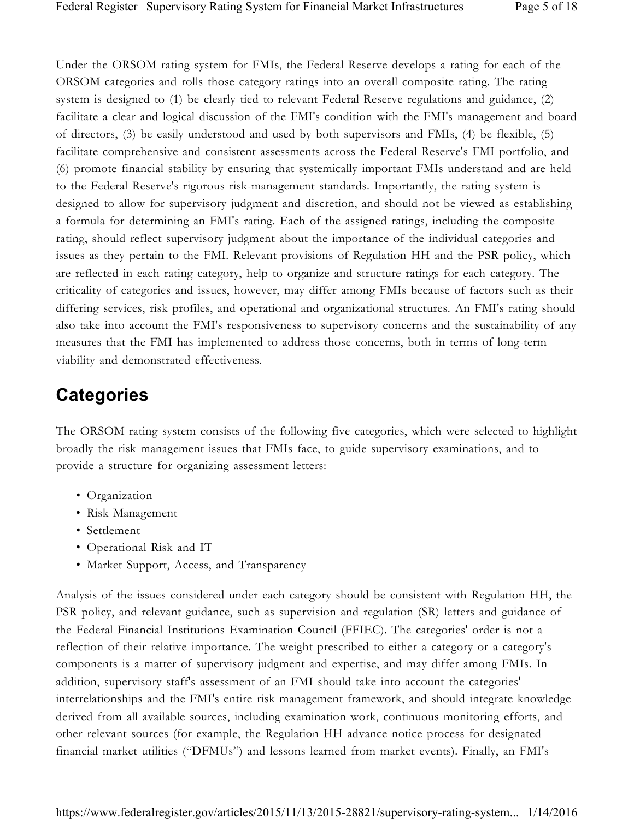Under the ORSOM rating system for FMIs, the Federal Reserve develops a rating for each of the ORSOM categories and rolls those category ratings into an overall composite rating. The rating system is designed to (1) be clearly tied to relevant Federal Reserve regulations and guidance, (2) facilitate a clear and logical discussion of the FMI's condition with the FMI's management and board of directors, (3) be easily understood and used by both supervisors and FMIs, (4) be flexible, (5) facilitate comprehensive and consistent assessments across the Federal Reserve's FMI portfolio, and (6) promote financial stability by ensuring that systemically important FMIs understand and are held to the Federal Reserve's rigorous risk-management standards. Importantly, the rating system is designed to allow for supervisory judgment and discretion, and should not be viewed as establishing a formula for determining an FMI's rating. Each of the assigned ratings, including the composite rating, should reflect supervisory judgment about the importance of the individual categories and issues as they pertain to the FMI. Relevant provisions of Regulation HH and the PSR policy, which are reflected in each rating category, help to organize and structure ratings for each category. The criticality of categories and issues, however, may differ among FMIs because of factors such as their differing services, risk profiles, and operational and organizational structures. An FMI's rating should also take into account the FMI's responsiveness to supervisory concerns and the sustainability of any measures that the FMI has implemented to address those concerns, both in terms of long-term viability and demonstrated effectiveness.

# **Categories**

The ORSOM rating system consists of the following five categories, which were selected to highlight broadly the risk management issues that FMIs face, to guide supervisory examinations, and to provide a structure for organizing assessment letters:

- Organization
- Risk Management
- Settlement
- Operational Risk and IT
- Market Support, Access, and Transparency

Analysis of the issues considered under each category should be consistent with Regulation HH, the PSR policy, and relevant guidance, such as supervision and regulation (SR) letters and guidance of the Federal Financial Institutions Examination Council (FFIEC). The categories' order is not a reflection of their relative importance. The weight prescribed to either a category or a category's components is a matter of supervisory judgment and expertise, and may differ among FMIs. In addition, supervisory staff's assessment of an FMI should take into account the categories' interrelationships and the FMI's entire risk management framework, and should integrate knowledge derived from all available sources, including examination work, continuous monitoring efforts, and other relevant sources (for example, the Regulation HH advance notice process for designated financial market utilities ("DFMUs") and lessons learned from market events). Finally, an FMI's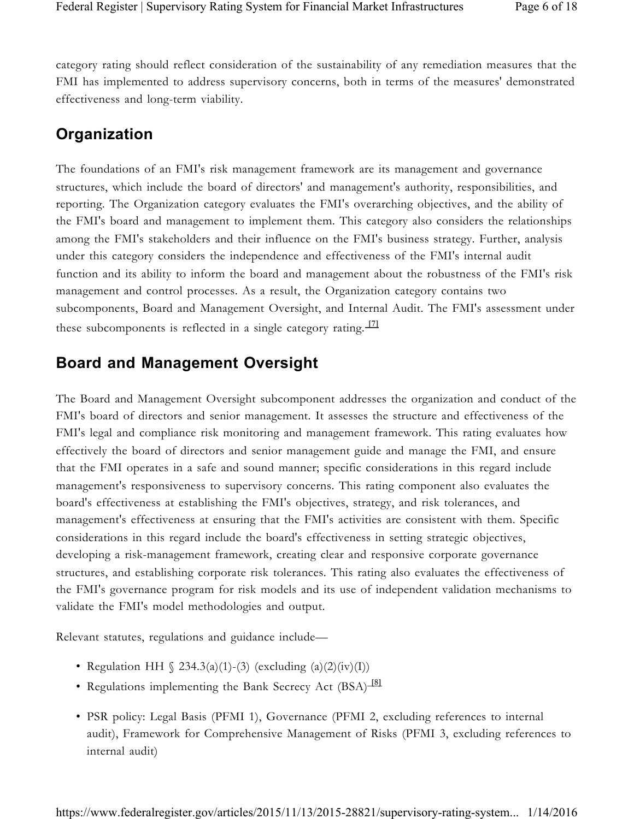category rating should reflect consideration of the sustainability of any remediation measures that the FMI has implemented to address supervisory concerns, both in terms of the measures' demonstrated effectiveness and long-term viability.

### **Organization**

The foundations of an FMI's risk management framework are its management and governance structures, which include the board of directors' and management's authority, responsibilities, and reporting. The Organization category evaluates the FMI's overarching objectives, and the ability of the FMI's board and management to implement them. This category also considers the relationships among the FMI's stakeholders and their influence on the FMI's business strategy. Further, analysis under this category considers the independence and effectiveness of the FMI's internal audit function and its ability to inform the board and management about the robustness of the FMI's risk management and control processes. As a result, the Organization category contains two subcomponents, Board and Management Oversight, and Internal Audit. The FMI's assessment under these subcomponents is reflected in a single category rating.  $\frac{171}{2}$ 

### **Board and Management Oversight**

The Board and Management Oversight subcomponent addresses the organization and conduct of the FMI's board of directors and senior management. It assesses the structure and effectiveness of the FMI's legal and compliance risk monitoring and management framework. This rating evaluates how effectively the board of directors and senior management guide and manage the FMI, and ensure that the FMI operates in a safe and sound manner; specific considerations in this regard include management's responsiveness to supervisory concerns. This rating component also evaluates the board's effectiveness at establishing the FMI's objectives, strategy, and risk tolerances, and management's effectiveness at ensuring that the FMI's activities are consistent with them. Specific considerations in this regard include the board's effectiveness in setting strategic objectives, developing a risk-management framework, creating clear and responsive corporate governance structures, and establishing corporate risk tolerances. This rating also evaluates the effectiveness of the FMI's governance program for risk models and its use of independent validation mechanisms to validate the FMI's model methodologies and output.

Relevant statutes, regulations and guidance include—

- Regulation HH  $\binom{234.3(a)(1)-(3)}{x^2}$  (excluding  $\binom{a}{2}(iv)(I)$ )
- Regulations implementing the Bank Secrecy Act (BSA)<sup>[8]</sup>
- PSR policy: Legal Basis (PFMI 1), Governance (PFMI 2, excluding references to internal audit), Framework for Comprehensive Management of Risks (PFMI 3, excluding references to internal audit)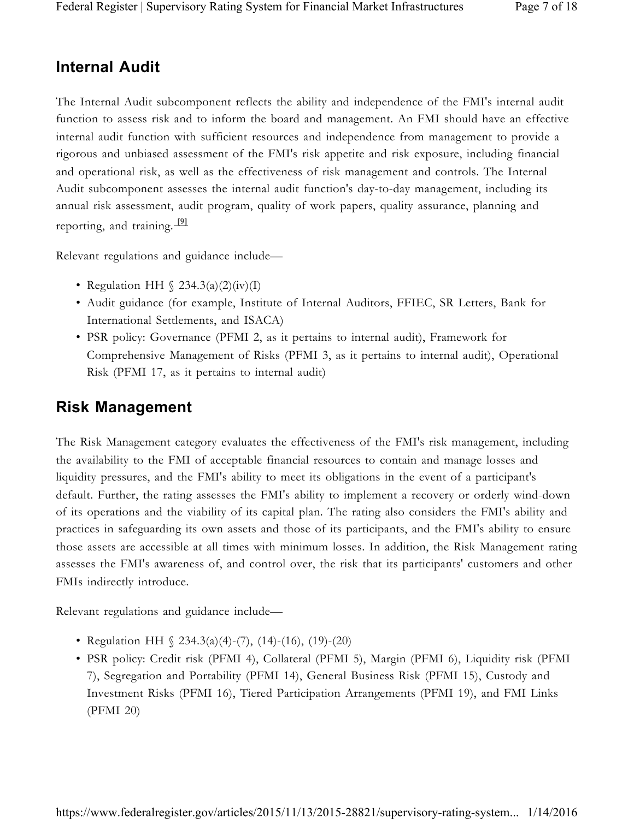### **Internal Audit**

The Internal Audit subcomponent reflects the ability and independence of the FMI's internal audit function to assess risk and to inform the board and management. An FMI should have an effective internal audit function with sufficient resources and independence from management to provide a rigorous and unbiased assessment of the FMI's risk appetite and risk exposure, including financial and operational risk, as well as the effectiveness of risk management and controls. The Internal Audit subcomponent assesses the internal audit function's day-to-day management, including its annual risk assessment, audit program, quality of work papers, quality assurance, planning and reporting, and training. **[9]** 

Relevant regulations and guidance include—

- Regulation HH  $\binom{234.3(a)(2)(iv)}{I}$
- Audit guidance (for example, Institute of Internal Auditors, FFIEC, SR Letters, Bank for International Settlements, and ISACA)
- PSR policy: Governance (PFMI 2, as it pertains to internal audit), Framework for Comprehensive Management of Risks (PFMI 3, as it pertains to internal audit), Operational Risk (PFMI 17, as it pertains to internal audit)

### **Risk Management**

The Risk Management category evaluates the effectiveness of the FMI's risk management, including the availability to the FMI of acceptable financial resources to contain and manage losses and liquidity pressures, and the FMI's ability to meet its obligations in the event of a participant's default. Further, the rating assesses the FMI's ability to implement a recovery or orderly wind-down of its operations and the viability of its capital plan. The rating also considers the FMI's ability and practices in safeguarding its own assets and those of its participants, and the FMI's ability to ensure those assets are accessible at all times with minimum losses. In addition, the Risk Management rating assesses the FMI's awareness of, and control over, the risk that its participants' customers and other FMIs indirectly introduce.

Relevant regulations and guidance include—

- Regulation HH  $\binom{234.3(a)(4)-(7)}{14-(16)}$ , (19)-(20)
- PSR policy: Credit risk (PFMI 4), Collateral (PFMI 5), Margin (PFMI 6), Liquidity risk (PFMI 7), Segregation and Portability (PFMI 14), General Business Risk (PFMI 15), Custody and Investment Risks (PFMI 16), Tiered Participation Arrangements (PFMI 19), and FMI Links (PFMI 20)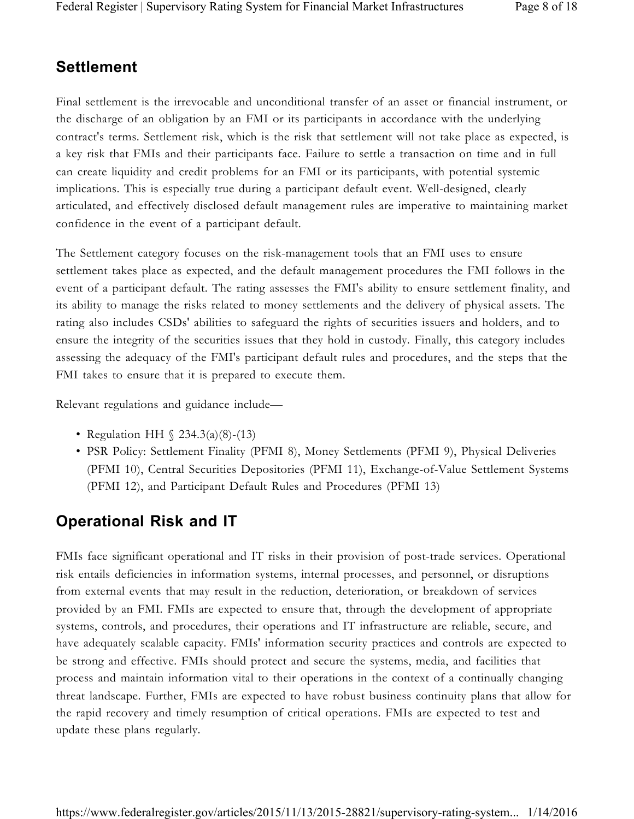### **Settlement**

Final settlement is the irrevocable and unconditional transfer of an asset or financial instrument, or the discharge of an obligation by an FMI or its participants in accordance with the underlying contract's terms. Settlement risk, which is the risk that settlement will not take place as expected, is a key risk that FMIs and their participants face. Failure to settle a transaction on time and in full can create liquidity and credit problems for an FMI or its participants, with potential systemic implications. This is especially true during a participant default event. Well-designed, clearly articulated, and effectively disclosed default management rules are imperative to maintaining market confidence in the event of a participant default.

The Settlement category focuses on the risk-management tools that an FMI uses to ensure settlement takes place as expected, and the default management procedures the FMI follows in the event of a participant default. The rating assesses the FMI's ability to ensure settlement finality, and its ability to manage the risks related to money settlements and the delivery of physical assets. The rating also includes CSDs' abilities to safeguard the rights of securities issuers and holders, and to ensure the integrity of the securities issues that they hold in custody. Finally, this category includes assessing the adequacy of the FMI's participant default rules and procedures, and the steps that the FMI takes to ensure that it is prepared to execute them.

Relevant regulations and guidance include—

- Regulation HH  $\binom{234.3(a)(8)-(13)}{234.3(a)(8)}$
- PSR Policy: Settlement Finality (PFMI 8), Money Settlements (PFMI 9), Physical Deliveries (PFMI 10), Central Securities Depositories (PFMI 11), Exchange-of-Value Settlement Systems (PFMI 12), and Participant Default Rules and Procedures (PFMI 13)

### **Operational Risk and IT**

FMIs face significant operational and IT risks in their provision of post-trade services. Operational risk entails deficiencies in information systems, internal processes, and personnel, or disruptions from external events that may result in the reduction, deterioration, or breakdown of services provided by an FMI. FMIs are expected to ensure that, through the development of appropriate systems, controls, and procedures, their operations and IT infrastructure are reliable, secure, and have adequately scalable capacity. FMIs' information security practices and controls are expected to be strong and effective. FMIs should protect and secure the systems, media, and facilities that process and maintain information vital to their operations in the context of a continually changing threat landscape. Further, FMIs are expected to have robust business continuity plans that allow for the rapid recovery and timely resumption of critical operations. FMIs are expected to test and update these plans regularly.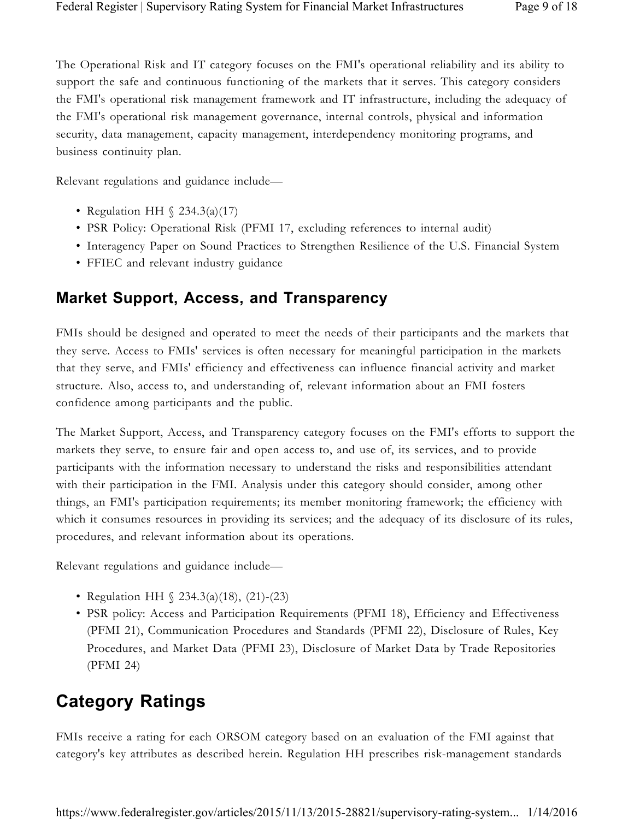The Operational Risk and IT category focuses on the FMI's operational reliability and its ability to support the safe and continuous functioning of the markets that it serves. This category considers the FMI's operational risk management framework and IT infrastructure, including the adequacy of the FMI's operational risk management governance, internal controls, physical and information security, data management, capacity management, interdependency monitoring programs, and business continuity plan.

Relevant regulations and guidance include—

- Regulation HH  $\binom{234.3(a)(17)}{}$
- PSR Policy: Operational Risk (PFMI 17, excluding references to internal audit)
- Interagency Paper on Sound Practices to Strengthen Resilience of the U.S. Financial System
- FFIEC and relevant industry guidance

#### **Market Support, Access, and Transparency**

FMIs should be designed and operated to meet the needs of their participants and the markets that they serve. Access to FMIs' services is often necessary for meaningful participation in the markets that they serve, and FMIs' efficiency and effectiveness can influence financial activity and market structure. Also, access to, and understanding of, relevant information about an FMI fosters confidence among participants and the public.

The Market Support, Access, and Transparency category focuses on the FMI's efforts to support the markets they serve, to ensure fair and open access to, and use of, its services, and to provide participants with the information necessary to understand the risks and responsibilities attendant with their participation in the FMI. Analysis under this category should consider, among other things, an FMI's participation requirements; its member monitoring framework; the efficiency with which it consumes resources in providing its services; and the adequacy of its disclosure of its rules, procedures, and relevant information about its operations.

Relevant regulations and guidance include—

- Regulation HH § 234.3(a)(18), (21)-(23)
- PSR policy: Access and Participation Requirements (PFMI 18), Efficiency and Effectiveness (PFMI 21), Communication Procedures and Standards (PFMI 22), Disclosure of Rules, Key Procedures, and Market Data (PFMI 23), Disclosure of Market Data by Trade Repositories (PFMI 24)

## **Category Ratings**

FMIs receive a rating for each ORSOM category based on an evaluation of the FMI against that category's key attributes as described herein. Regulation HH prescribes risk-management standards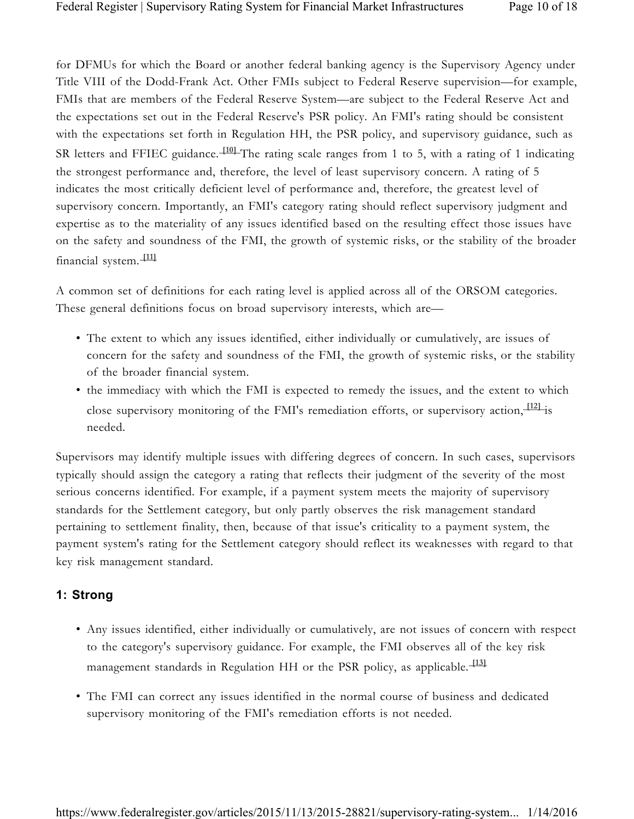for DFMUs for which the Board or another federal banking agency is the Supervisory Agency under Title VIII of the Dodd-Frank Act. Other FMIs subject to Federal Reserve supervision—for example, FMIs that are members of the Federal Reserve System—are subject to the Federal Reserve Act and the expectations set out in the Federal Reserve's PSR policy. An FMI's rating should be consistent with the expectations set forth in Regulation HH, the PSR policy, and supervisory guidance, such as SR letters and FFIEC guidance. <sup>1101</sup> The rating scale ranges from 1 to 5, with a rating of 1 indicating the strongest performance and, therefore, the level of least supervisory concern. A rating of 5 indicates the most critically deficient level of performance and, therefore, the greatest level of supervisory concern. Importantly, an FMI's category rating should reflect supervisory judgment and expertise as to the materiality of any issues identified based on the resulting effect those issues have on the safety and soundness of the FMI, the growth of systemic risks, or the stability of the broader financial system. **[11]** 

A common set of definitions for each rating level is applied across all of the ORSOM categories. These general definitions focus on broad supervisory interests, which are—

- The extent to which any issues identified, either individually or cumulatively, are issues of concern for the safety and soundness of the FMI, the growth of systemic risks, or the stability of the broader financial system.
- the immediacy with which the FMI is expected to remedy the issues, and the extent to which close supervisory monitoring of the FMI's remediation efforts, or supervisory action, <sup>[12]</sup> is needed.

Supervisors may identify multiple issues with differing degrees of concern. In such cases, supervisors typically should assign the category a rating that reflects their judgment of the severity of the most serious concerns identified. For example, if a payment system meets the majority of supervisory standards for the Settlement category, but only partly observes the risk management standard pertaining to settlement finality, then, because of that issue's criticality to a payment system, the payment system's rating for the Settlement category should reflect its weaknesses with regard to that key risk management standard.

#### **1: Strong**

- Any issues identified, either individually or cumulatively, are not issues of concern with respect to the category's supervisory guidance. For example, the FMI observes all of the key risk management standards in Regulation HH or the PSR policy, as applicable. **[13]**
- The FMI can correct any issues identified in the normal course of business and dedicated supervisory monitoring of the FMI's remediation efforts is not needed.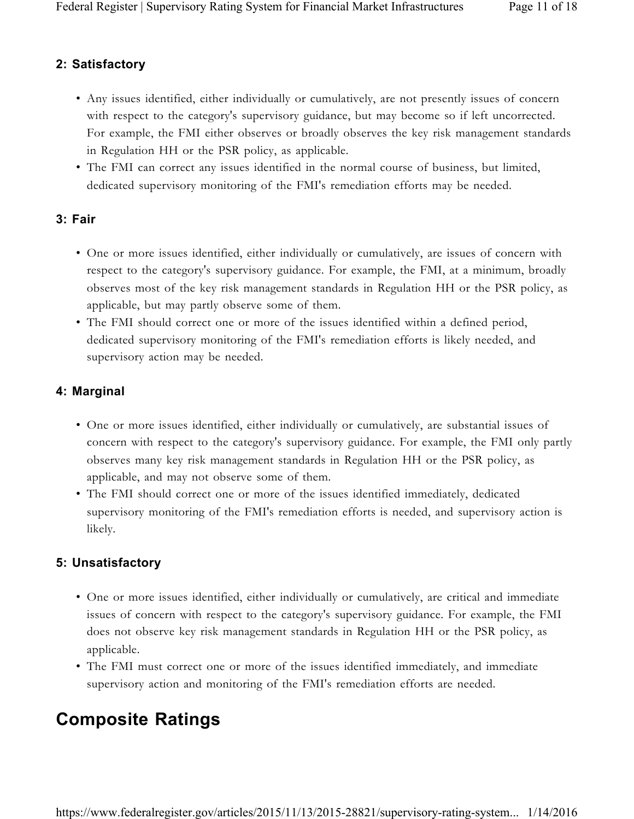#### **2: Satisfactory**

- Any issues identified, either individually or cumulatively, are not presently issues of concern with respect to the category's supervisory guidance, but may become so if left uncorrected. For example, the FMI either observes or broadly observes the key risk management standards in Regulation HH or the PSR policy, as applicable.
- The FMI can correct any issues identified in the normal course of business, but limited, dedicated supervisory monitoring of the FMI's remediation efforts may be needed.

#### **3: Fair**

- One or more issues identified, either individually or cumulatively, are issues of concern with respect to the category's supervisory guidance. For example, the FMI, at a minimum, broadly observes most of the key risk management standards in Regulation HH or the PSR policy, as applicable, but may partly observe some of them.
- The FMI should correct one or more of the issues identified within a defined period, dedicated supervisory monitoring of the FMI's remediation efforts is likely needed, and supervisory action may be needed.

#### **4: Marginal**

- One or more issues identified, either individually or cumulatively, are substantial issues of concern with respect to the category's supervisory guidance. For example, the FMI only partly observes many key risk management standards in Regulation HH or the PSR policy, as applicable, and may not observe some of them.
- The FMI should correct one or more of the issues identified immediately, dedicated supervisory monitoring of the FMI's remediation efforts is needed, and supervisory action is likely.

#### **5: Unsatisfactory**

- One or more issues identified, either individually or cumulatively, are critical and immediate issues of concern with respect to the category's supervisory guidance. For example, the FMI does not observe key risk management standards in Regulation HH or the PSR policy, as applicable.
- The FMI must correct one or more of the issues identified immediately, and immediate supervisory action and monitoring of the FMI's remediation efforts are needed.

## **Composite Ratings**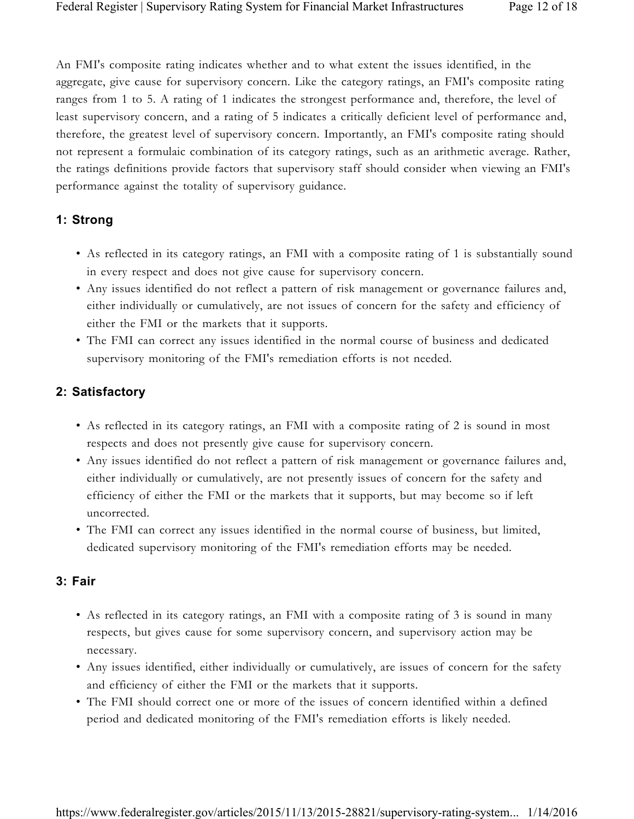An FMI's composite rating indicates whether and to what extent the issues identified, in the aggregate, give cause for supervisory concern. Like the category ratings, an FMI's composite rating ranges from 1 to 5. A rating of 1 indicates the strongest performance and, therefore, the level of least supervisory concern, and a rating of 5 indicates a critically deficient level of performance and, therefore, the greatest level of supervisory concern. Importantly, an FMI's composite rating should not represent a formulaic combination of its category ratings, such as an arithmetic average. Rather, the ratings definitions provide factors that supervisory staff should consider when viewing an FMI's performance against the totality of supervisory guidance.

#### **1: Strong**

- As reflected in its category ratings, an FMI with a composite rating of 1 is substantially sound in every respect and does not give cause for supervisory concern.
- Any issues identified do not reflect a pattern of risk management or governance failures and, either individually or cumulatively, are not issues of concern for the safety and efficiency of either the FMI or the markets that it supports.
- The FMI can correct any issues identified in the normal course of business and dedicated supervisory monitoring of the FMI's remediation efforts is not needed.

#### **2: Satisfactory**

- As reflected in its category ratings, an FMI with a composite rating of 2 is sound in most respects and does not presently give cause for supervisory concern.
- Any issues identified do not reflect a pattern of risk management or governance failures and, either individually or cumulatively, are not presently issues of concern for the safety and efficiency of either the FMI or the markets that it supports, but may become so if left uncorrected.
- The FMI can correct any issues identified in the normal course of business, but limited, dedicated supervisory monitoring of the FMI's remediation efforts may be needed.

#### **3: Fair**

- As reflected in its category ratings, an FMI with a composite rating of 3 is sound in many respects, but gives cause for some supervisory concern, and supervisory action may be necessary.
- Any issues identified, either individually or cumulatively, are issues of concern for the safety and efficiency of either the FMI or the markets that it supports.
- The FMI should correct one or more of the issues of concern identified within a defined period and dedicated monitoring of the FMI's remediation efforts is likely needed.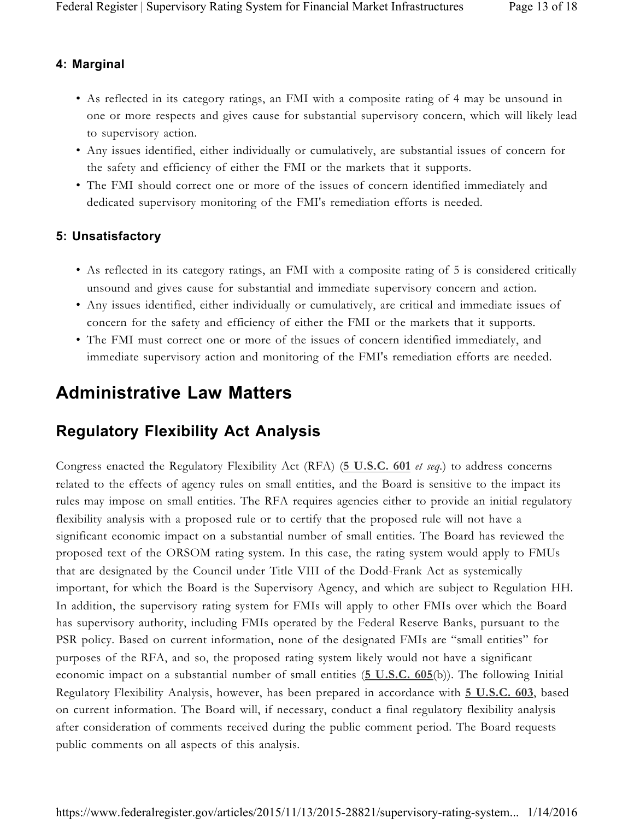#### **4: Marginal**

- As reflected in its category ratings, an FMI with a composite rating of 4 may be unsound in one or more respects and gives cause for substantial supervisory concern, which will likely lead to supervisory action.
- Any issues identified, either individually or cumulatively, are substantial issues of concern for the safety and efficiency of either the FMI or the markets that it supports.
- The FMI should correct one or more of the issues of concern identified immediately and dedicated supervisory monitoring of the FMI's remediation efforts is needed.

#### **5: Unsatisfactory**

- As reflected in its category ratings, an FMI with a composite rating of 5 is considered critically unsound and gives cause for substantial and immediate supervisory concern and action.
- Any issues identified, either individually or cumulatively, are critical and immediate issues of concern for the safety and efficiency of either the FMI or the markets that it supports.
- The FMI must correct one or more of the issues of concern identified immediately, and immediate supervisory action and monitoring of the FMI's remediation efforts are needed.

### **Administrative Law Matters**

### **Regulatory Flexibility Act Analysis**

Congress enacted the Regulatory Flexibility Act (RFA) (**5 U.S.C. 601** *et seq.*) to address concerns related to the effects of agency rules on small entities, and the Board is sensitive to the impact its rules may impose on small entities. The RFA requires agencies either to provide an initial regulatory flexibility analysis with a proposed rule or to certify that the proposed rule will not have a significant economic impact on a substantial number of small entities. The Board has reviewed the proposed text of the ORSOM rating system. In this case, the rating system would apply to FMUs that are designated by the Council under Title VIII of the Dodd-Frank Act as systemically important, for which the Board is the Supervisory Agency, and which are subject to Regulation HH. In addition, the supervisory rating system for FMIs will apply to other FMIs over which the Board has supervisory authority, including FMIs operated by the Federal Reserve Banks, pursuant to the PSR policy. Based on current information, none of the designated FMIs are "small entities" for purposes of the RFA, and so, the proposed rating system likely would not have a significant economic impact on a substantial number of small entities (**5 U.S.C. 605**(b)). The following Initial Regulatory Flexibility Analysis, however, has been prepared in accordance with **5 U.S.C. 603**, based on current information. The Board will, if necessary, conduct a final regulatory flexibility analysis after consideration of comments received during the public comment period. The Board requests public comments on all aspects of this analysis.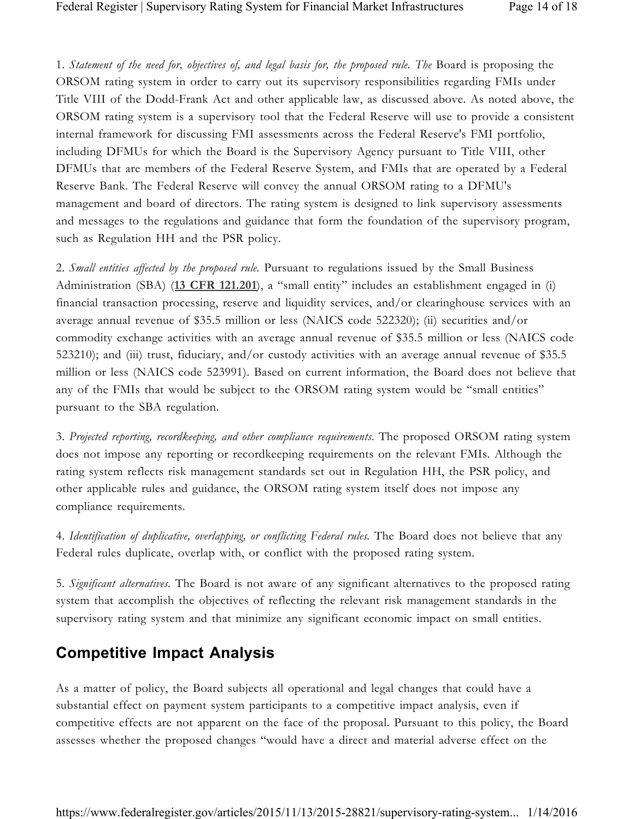1. *Statement of the need for, objectives of, and legal basis for, the proposed rule. The* Board is proposing the ORSOM rating system in order to carry out its supervisory responsibilities regarding FMIs under Title VIII of the Dodd-Frank Act and other applicable law, as discussed above. As noted above, the ORSOM rating system is a supervisory tool that the Federal Reserve will use to provide a consistent internal framework for discussing FMI assessments across the Federal Reserve's FMI portfolio, including DFMUs for which the Board is the Supervisory Agency pursuant to Title VIII, other DFMUs that are members of the Federal Reserve System, and FMIs that are operated by a Federal Reserve Bank. The Federal Reserve will convey the annual ORSOM rating to a DFMU's management and board of directors. The rating system is designed to link supervisory assessments and messages to the regulations and guidance that form the foundation of the supervisory program, such as Regulation HH and the PSR policy.

2. *Small entities affected by the proposed rule.* Pursuant to regulations issued by the Small Business Administration (SBA) (**13 CFR 121.201**), a "small entity" includes an establishment engaged in (i) financial transaction processing, reserve and liquidity services, and/or clearinghouse services with an average annual revenue of \$35.5 million or less (NAICS code 522320); (ii) securities and/or commodity exchange activities with an average annual revenue of \$35.5 million or less (NAICS code 523210); and (iii) trust, fiduciary, and/or custody activities with an average annual revenue of \$35.5 million or less (NAICS code 523991). Based on current information, the Board does not believe that any of the FMIs that would be subject to the ORSOM rating system would be "small entities" pursuant to the SBA regulation.

3. *Projected reporting, recordkeeping, and other compliance requirements.* The proposed ORSOM rating system does not impose any reporting or recordkeeping requirements on the relevant FMIs. Although the rating system reflects risk management standards set out in Regulation HH, the PSR policy, and other applicable rules and guidance, the ORSOM rating system itself does not impose any compliance requirements.

4. *Identification of duplicative, overlapping, or conflicting Federal rules.* The Board does not believe that any Federal rules duplicate, overlap with, or conflict with the proposed rating system.

5. *Significant alternatives.* The Board is not aware of any significant alternatives to the proposed rating system that accomplish the objectives of reflecting the relevant risk management standards in the supervisory rating system and that minimize any significant economic impact on small entities.

### **Competitive Impact Analysis**

As a matter of policy, the Board subjects all operational and legal changes that could have a substantial effect on payment system participants to a competitive impact analysis, even if competitive effects are not apparent on the face of the proposal. Pursuant to this policy, the Board assesses whether the proposed changes "would have a direct and material adverse effect on the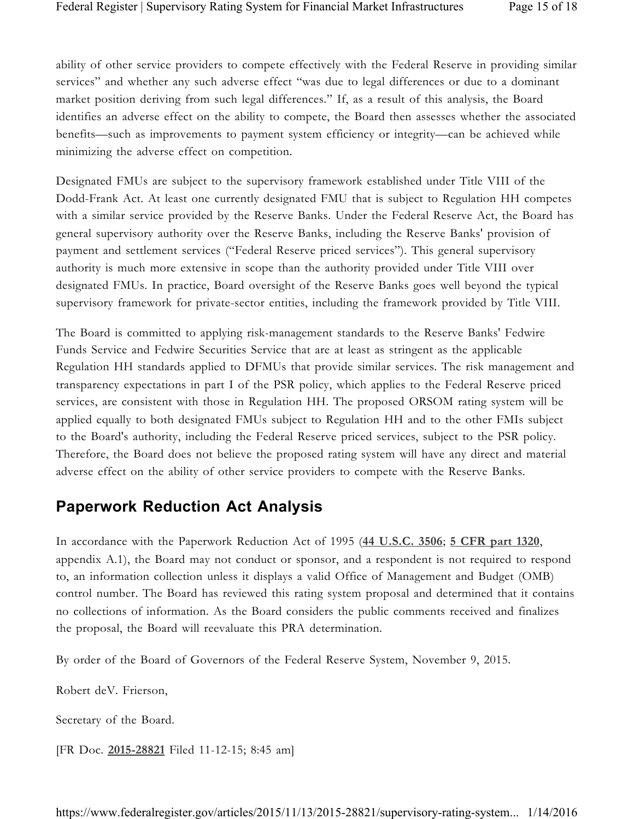ability of other service providers to compete effectively with the Federal Reserve in providing similar services" and whether any such adverse effect "was due to legal differences or due to a dominant market position deriving from such legal differences." If, as a result of this analysis, the Board identifies an adverse effect on the ability to compete, the Board then assesses whether the associated benefits—such as improvements to payment system efficiency or integrity—can be achieved while minimizing the adverse effect on competition.

Designated FMUs are subject to the supervisory framework established under Title VIII of the Dodd-Frank Act. At least one currently designated FMU that is subject to Regulation HH competes with a similar service provided by the Reserve Banks. Under the Federal Reserve Act, the Board has general supervisory authority over the Reserve Banks, including the Reserve Banks' provision of payment and settlement services ("Federal Reserve priced services"). This general supervisory authority is much more extensive in scope than the authority provided under Title VIII over designated FMUs. In practice, Board oversight of the Reserve Banks goes well beyond the typical supervisory framework for private-sector entities, including the framework provided by Title VIII.

The Board is committed to applying risk-management standards to the Reserve Banks' Fedwire Funds Service and Fedwire Securities Service that are at least as stringent as the applicable Regulation HH standards applied to DFMUs that provide similar services. The risk management and transparency expectations in part I of the PSR policy, which applies to the Federal Reserve priced services, are consistent with those in Regulation HH. The proposed ORSOM rating system will be applied equally to both designated FMUs subject to Regulation HH and to the other FMIs subject to the Board's authority, including the Federal Reserve priced services, subject to the PSR policy. Therefore, the Board does not believe the proposed rating system will have any direct and material adverse effect on the ability of other service providers to compete with the Reserve Banks.

### **Paperwork Reduction Act Analysis**

In accordance with the Paperwork Reduction Act of 1995 (**44 U.S.C. 3506**; **5 CFR part 1320**, appendix A.1), the Board may not conduct or sponsor, and a respondent is not required to respond to, an information collection unless it displays a valid Office of Management and Budget (OMB) control number. The Board has reviewed this rating system proposal and determined that it contains no collections of information. As the Board considers the public comments received and finalizes the proposal, the Board will reevaluate this PRA determination.

By order of the Board of Governors of the Federal Reserve System, November 9, 2015.

Robert deV. Frierson,

Secretary of the Board.

[FR Doc. **2015-28821** Filed 11-12-15; 8:45 am]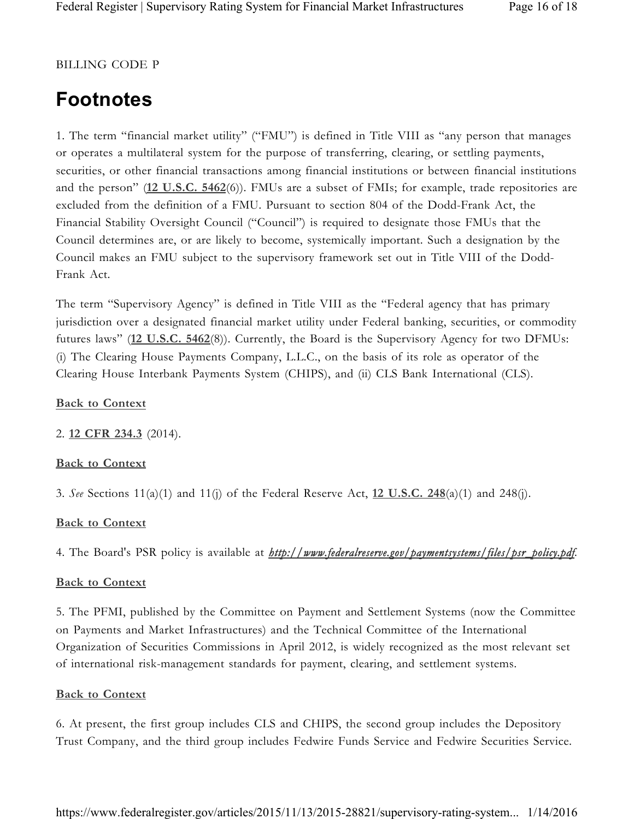#### BILLING CODE P

# **Footnotes**

1. The term "financial market utility" ("FMU") is defined in Title VIII as "any person that manages or operates a multilateral system for the purpose of transferring, clearing, or settling payments, securities, or other financial transactions among financial institutions or between financial institutions and the person" (**12 U.S.C. 5462**(6)). FMUs are a subset of FMIs; for example, trade repositories are excluded from the definition of a FMU. Pursuant to section 804 of the Dodd-Frank Act, the Financial Stability Oversight Council ("Council") is required to designate those FMUs that the Council determines are, or are likely to become, systemically important. Such a designation by the Council makes an FMU subject to the supervisory framework set out in Title VIII of the Dodd-Frank Act.

The term "Supervisory Agency" is defined in Title VIII as the "Federal agency that has primary jurisdiction over a designated financial market utility under Federal banking, securities, or commodity futures laws" (**12 U.S.C. 5462**(8)). Currently, the Board is the Supervisory Agency for two DFMUs: (i) The Clearing House Payments Company, L.L.C., on the basis of its role as operator of the Clearing House Interbank Payments System (CHIPS), and (ii) CLS Bank International (CLS).

#### **Back to Context**

2. **12 CFR 234.3** (2014).

#### **Back to Context**

3. *See* Sections 11(a)(1) and 11(j) of the Federal Reserve Act, **12 U.S.C. 248**(a)(1) and 248(j).

#### **Back to Context**

4. The Board's PSR policy is available at *http://www.federalreserve.gov/paymentsystems/files/psr\_policy.pdf.*

#### **Back to Context**

5. The PFMI, published by the Committee on Payment and Settlement Systems (now the Committee on Payments and Market Infrastructures) and the Technical Committee of the International Organization of Securities Commissions in April 2012, is widely recognized as the most relevant set of international risk-management standards for payment, clearing, and settlement systems.

#### **Back to Context**

6. At present, the first group includes CLS and CHIPS, the second group includes the Depository Trust Company, and the third group includes Fedwire Funds Service and Fedwire Securities Service.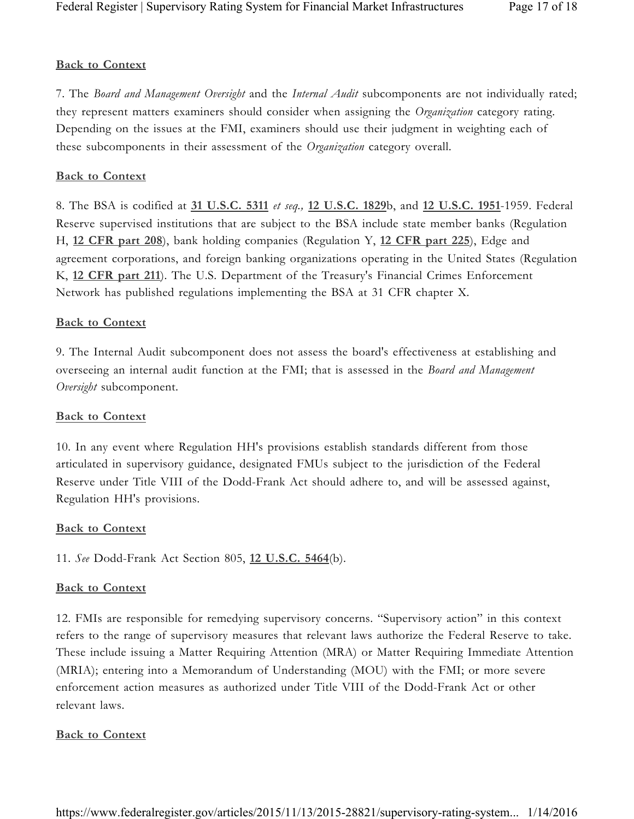#### **Back to Context**

7. The *Board and Management Oversight* and the *Internal Audit* subcomponents are not individually rated; they represent matters examiners should consider when assigning the *Organization* category rating. Depending on the issues at the FMI, examiners should use their judgment in weighting each of these subcomponents in their assessment of the *Organization* category overall.

#### **Back to Context**

8. The BSA is codified at **31 U.S.C. 5311** *et seq.,* **12 U.S.C. 1829**b, and **12 U.S.C. 1951**-1959. Federal Reserve supervised institutions that are subject to the BSA include state member banks (Regulation H, **12 CFR part 208**), bank holding companies (Regulation Y, **12 CFR part 225**), Edge and agreement corporations, and foreign banking organizations operating in the United States (Regulation K, **12 CFR part 211**). The U.S. Department of the Treasury's Financial Crimes Enforcement Network has published regulations implementing the BSA at 31 CFR chapter X.

#### **Back to Context**

9. The Internal Audit subcomponent does not assess the board's effectiveness at establishing and overseeing an internal audit function at the FMI; that is assessed in the *Board and Management Oversight* subcomponent.

#### **Back to Context**

10. In any event where Regulation HH's provisions establish standards different from those articulated in supervisory guidance, designated FMUs subject to the jurisdiction of the Federal Reserve under Title VIII of the Dodd-Frank Act should adhere to, and will be assessed against, Regulation HH's provisions.

#### **Back to Context**

11. *See* Dodd-Frank Act Section 805, **12 U.S.C. 5464**(b).

#### **Back to Context**

12. FMIs are responsible for remedying supervisory concerns. "Supervisory action" in this context refers to the range of supervisory measures that relevant laws authorize the Federal Reserve to take. These include issuing a Matter Requiring Attention (MRA) or Matter Requiring Immediate Attention (MRIA); entering into a Memorandum of Understanding (MOU) with the FMI; or more severe enforcement action measures as authorized under Title VIII of the Dodd-Frank Act or other relevant laws.

#### **Back to Context**